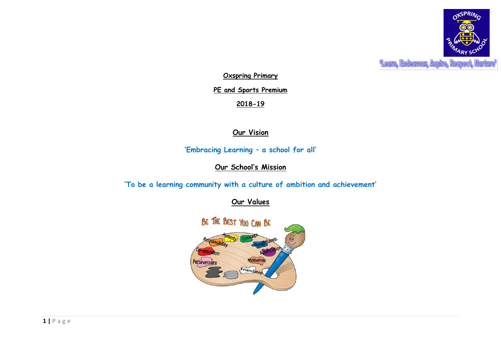

**Leam, Endeavour, Aspire, tume** 

**Oxspring Primary**

**PE and Sports Premium**

**2018-19**

# **Our Vision**

**'Embracing Learning – a school for all'**

**Our School's Mission**

**'To be a learning community with a culture of ambition and achievement'**

**Our Values**

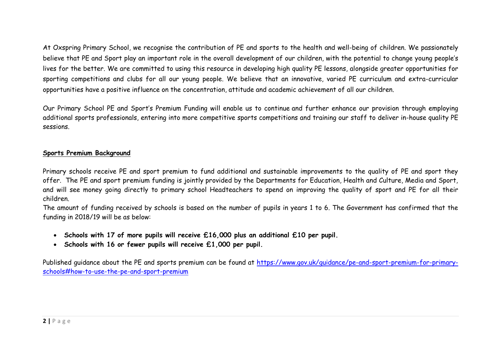At Oxspring Primary School, we recognise the contribution of PE and sports to the health and well-being of children. We passionately believe that PE and Sport play an important role in the overall development of our children, with the potential to change young people's lives for the better. We are committed to using this resource in developing high quality PE lessons, alongside greater opportunities for sporting competitions and clubs for all our young people. We believe that an innovative, varied PE curriculum and extra-curricular opportunities have a positive influence on the concentration, attitude and academic achievement of all our children.

Our Primary School PE and Sport's Premium Funding will enable us to continue and further enhance our provision through employing additional sports professionals, entering into more competitive sports competitions and training our staff to deliver in-house quality PE sessions.

## **Sports Premium Background**

Primary schools receive PE and sport premium to fund additional and sustainable improvements to the quality of PE and sport they offer. The PE and sport premium funding is jointly provided by the Departments for Education, Health and Culture, Media and Sport, and will see money going directly to primary school Headteachers to spend on improving the quality of sport and PE for all their children.

The amount of funding received by schools is based on the number of pupils in years 1 to 6. The Government has confirmed that the funding in 2018/19 will be as below:

- **Schools with 17 of more pupils will receive £16,000 plus an additional £10 per pupil.**
- **Schools with 16 or fewer pupils will receive £1,000 per pupil.**

Published guidance about the PE and sports premium can be found at [https://www.gov.uk/guidance/pe-and-sport-premium-for-primary](https://www.gov.uk/guidance/pe-and-sport-premium-for-primary-schools#how-to-use-the-pe-and-sport-premium)[schools#how-to-use-the-pe-and-sport-premium](https://www.gov.uk/guidance/pe-and-sport-premium-for-primary-schools#how-to-use-the-pe-and-sport-premium)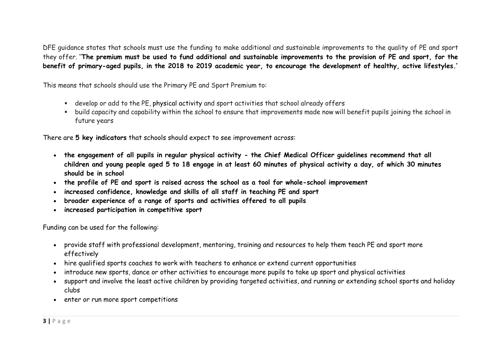DFE guidance states that schools must use the funding to make additional and sustainable improvements to the quality of PE and sport they offer. ''**The premium must be used to fund additional and sustainable improvements to the provision of PE and sport, for the benefit of primary-aged pupils, in the 2018 to 2019 academic year, to encourage the development of healthy, active lifestyles.'**

This means that schools should use the Primary PE and Sport Premium to:

- develop or add to the PE, physical activity and sport activities that school already offers
- build capacity and capability within the school to ensure that improvements made now will benefit pupils joining the school in future years

There are **5 key indicators** that schools should expect to see improvement across:

- **the engagement of all pupils in regular physical activity - the Chief Medical Officer guidelines recommend that all children and young people aged 5 to 18 engage in at least 60 minutes of physical activity a day, of which 30 minutes should be in school**
- **the profile of PE and sport is raised across the school as a tool for whole-school improvement**
- **increased confidence, knowledge and skills of all staff in teaching PE and sport**
- **broader experience of a range of sports and activities offered to all pupils**
- **increased participation in competitive sport**

Funding can be used for the following:

- provide staff with professional development, mentoring, training and resources to help them teach PE and sport more effectively
- hire qualified sports coaches to work with teachers to enhance or extend current opportunities
- introduce new sports, dance or other activities to encourage more pupils to take up sport and physical activities
- support and involve the least active children by providing targeted activities, and running or extending school sports and holiday clubs
- enter or run more sport competitions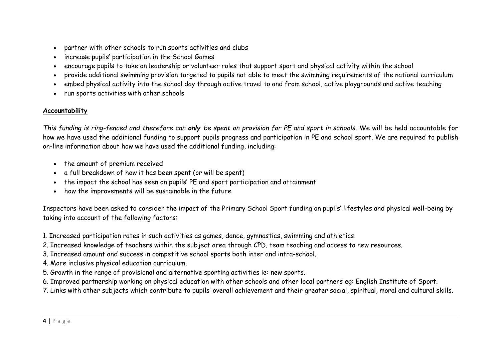- partner with other schools to run sports activities and clubs
- increase pupils' participation in the School Games
- encourage pupils to take on leadership or volunteer roles that support sport and physical activity within the school
- provide additional swimming provision targeted to pupils not able to meet the swimming requirements of the national curriculum
- embed physical activity into the school day through active travel to and from school, active playgrounds and active teaching
- run sports activities with other schools

# **Accountability**

*This funding is ring-fenced and therefore can only be spent on provision for PE and sport in schools.* We will be held accountable for how we have used the additional funding to support pupils progress and participation in PE and school sport. We are required to publish on-line information about how we have used the additional funding, including:

- the amount of premium received
- a full breakdown of how it has been spent (or will be spent)
- the impact the school has seen on pupils' PE and sport participation and attainment
- how the improvements will be sustainable in the future

Inspectors have been asked to consider the impact of the Primary School Sport funding on pupils' lifestyles and physical well-being by taking into account of the following factors:

1. Increased participation rates in such activities as games, dance, gymnastics, swimming and athletics.

- 2. Increased knowledge of teachers within the subject area through CPD, team teaching and access to new resources.
- 3. Increased amount and success in competitive school sports both inter and intra-school.
- 4. More inclusive physical education curriculum.
- 5. Growth in the range of provisional and alternative sporting activities ie: new sports.
- 6. Improved partnership working on physical education with other schools and other local partners eg: English Institute of Sport.
- 7. Links with other subjects which contribute to pupils' overall achievement and their greater social, spiritual, moral and cultural skills.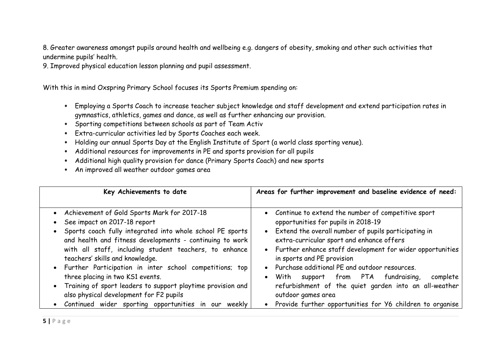8. Greater awareness amongst pupils around health and wellbeing e.g. dangers of obesity, smoking and other such activities that undermine pupils' health.

9. Improved physical education lesson planning and pupil assessment.

With this in mind Oxspring Primary School focuses its Sports Premium spending on:

- Employing a Sports Coach to increase teacher subject knowledge and staff development and extend participation rates in gymnastics, athletics, games and dance, as well as further enhancing our provision.
- Sporting competitions between schools as part of Team Activ
- Extra-curricular activities led by Sports Coaches each week.
- Holding our annual Sports Day at the English Institute of Sport (a world class sporting venue).
- Additional resources for improvements in PE and sports provision for all pupils
- Additional high quality provision for dance (Primary Sports Coach) and new sports
- An improved all weather outdoor games area

| Key Achievements to date                                                                                                                                                                                                                                                                                                                                                                                                                                                                                                                                                | Areas for further improvement and baseline evidence of need:                                                                                                                                                                                                                                                                                                                                                                                                                                                                                    |
|-------------------------------------------------------------------------------------------------------------------------------------------------------------------------------------------------------------------------------------------------------------------------------------------------------------------------------------------------------------------------------------------------------------------------------------------------------------------------------------------------------------------------------------------------------------------------|-------------------------------------------------------------------------------------------------------------------------------------------------------------------------------------------------------------------------------------------------------------------------------------------------------------------------------------------------------------------------------------------------------------------------------------------------------------------------------------------------------------------------------------------------|
| • Achievement of Gold Sports Mark for 2017-18<br>See impact on 2017-18 report<br>Sports coach fully integrated into whole school PE sports<br>and health and fitness developments - continuing to work<br>with all staff, including student teachers, to enhance<br>teachers' skills and knowledge.<br>Further Participation in inter school competitions; top<br>three placing in two KS1 events.<br>Training of sport leaders to support playtime provision and<br>also physical development for F2 pupils<br>Continued wider sporting opportunities in<br>our weekly | • Continue to extend the number of competitive sport<br>opportunities for pupils in 2018-19<br>Extend the overall number of pupils participating in<br>extra-curricular sport and enhance offers<br>• Further enhance staff development for wider opportunities<br>in sports and PE provision<br>Purchase additional PE and outdoor resources.<br>support from PTA fundraising,<br>With<br>complete<br>refurbishment of the quiet garden into an all-weather<br>outdoor games area<br>Provide further opportunities for Y6 children to organise |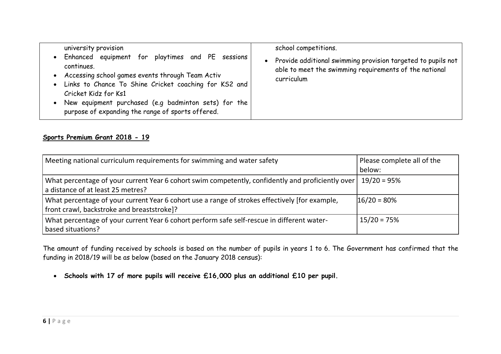| university provision<br>Enhanced equipment for playtimes and PE sessions<br>continues.<br>• Accessing school games events through Team Activ<br>Links to Chance To Shine Cricket coaching for KS2 and<br>Cricket Kidz for Ks1<br>New equipment purchased (e.g badminton sets) for the<br>purpose of expanding the range of sports offered. | school competitions.<br>Provide additional swimming provision targeted to pupils not<br>able to meet the swimming requirements of the national<br>curriculum |
|--------------------------------------------------------------------------------------------------------------------------------------------------------------------------------------------------------------------------------------------------------------------------------------------------------------------------------------------|--------------------------------------------------------------------------------------------------------------------------------------------------------------|
|--------------------------------------------------------------------------------------------------------------------------------------------------------------------------------------------------------------------------------------------------------------------------------------------------------------------------------------------|--------------------------------------------------------------------------------------------------------------------------------------------------------------|

## **Sports Premium Grant 2018 - 19**

| Meeting national curriculum requirements for swimming and water safety                                                                       | Please complete all of the |
|----------------------------------------------------------------------------------------------------------------------------------------------|----------------------------|
|                                                                                                                                              | below:                     |
| What percentage of your current Year 6 cohort swim competently, confidently and proficiently over<br>a distance of at least 25 metres?       | $19/20 = 95%$              |
| What percentage of your current Year 6 cohort use a range of strokes effectively [for example,<br>front crawl, backstroke and breaststroke]? | $16/20 = 80%$              |
| What percentage of your current Year 6 cohort perform safe self-rescue in different water-<br>based situations?                              | $15/20 = 75%$              |

The amount of funding received by schools is based on the number of pupils in years 1 to 6. The Government has confirmed that the funding in 2018/19 will be as below (based on the January 2018 census):

**Schools with 17 of more pupils will receive £16,000 plus an additional £10 per pupil.**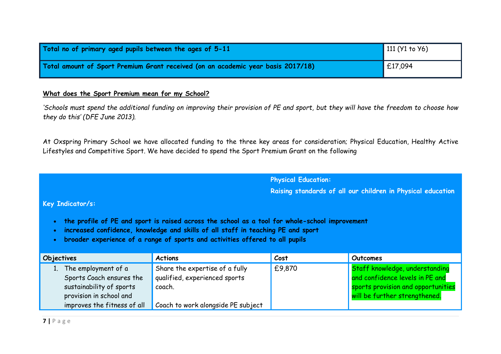| Total no of primary aged pupils between the ages of 5-11                         | 111 ( $Y1$ to $Y6$ ) |
|----------------------------------------------------------------------------------|----------------------|
| Total amount of Sport Premium Grant received (on an academic year basis 2017/18) | $\mathsf{E}17,094$   |

### **What does the Sport Premium mean for my School?**

*'Schools must spend the additional funding on improving their provision of PE and sport, but they will have the freedom to choose how they do this' (DFE June 2013).*

At Oxspring Primary School we have allocated funding to the three key areas for consideration; Physical Education, Healthy Active Lifestyles and Competitive Sport. We have decided to spend the Sport Premium Grant on the following

**Physical Education:**

**Raising standards of all our children in Physical education**

## **Key Indicator/s:**

- **the profile of PE and sport is raised across the school as a tool for whole-school improvement**
- **increased confidence, knowledge and skills of all staff in teaching PE and sport**
- **broader experience of a range of sports and activities offered to all pupils**

| Objectives |                                                                                                        | <b>Actions</b>                                                            | Cost   | Outcomes                                                                                                                                 |
|------------|--------------------------------------------------------------------------------------------------------|---------------------------------------------------------------------------|--------|------------------------------------------------------------------------------------------------------------------------------------------|
|            | The employment of a<br>Sports Coach ensures the<br>sustainability of sports<br>provision in school and | Share the expertise of a fully<br>qualified, experienced sports<br>coach. | £9,870 | Staff knowledge, understanding<br>and confidence levels in PE and<br>sports provision and opportunities<br>will be further strengthened. |
|            | improves the fitness of all                                                                            | Coach to work alongside PE subject                                        |        |                                                                                                                                          |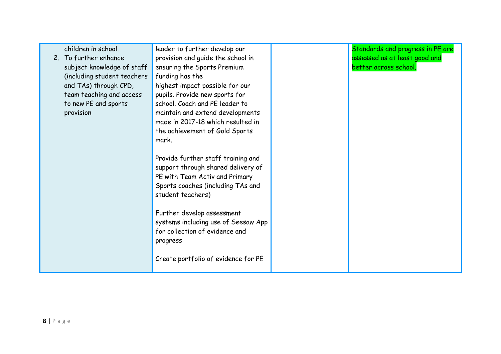| children in school.         | leader to further develop our       | Standards and progress in PE are |
|-----------------------------|-------------------------------------|----------------------------------|
| 2. To further enhance       | provision and guide the school in   | assessed as at least good and    |
| subject knowledge of staff  | ensuring the Sports Premium         | better across school.            |
| (including student teachers | funding has the                     |                                  |
| and TAs) through CPD,       | highest impact possible for our     |                                  |
| team teaching and access    | pupils. Provide new sports for      |                                  |
| to new PE and sports        | school. Coach and PE leader to      |                                  |
| provision                   | maintain and extend developments    |                                  |
|                             | made in 2017-18 which resulted in   |                                  |
|                             | the achievement of Gold Sports      |                                  |
|                             | mark.                               |                                  |
|                             |                                     |                                  |
|                             | Provide further staff training and  |                                  |
|                             | support through shared delivery of  |                                  |
|                             | PE with Team Activ and Primary      |                                  |
|                             | Sports coaches (including TAs and   |                                  |
|                             | student teachers)                   |                                  |
|                             |                                     |                                  |
|                             | Further develop assessment          |                                  |
|                             | systems including use of Seesaw App |                                  |
|                             | for collection of evidence and      |                                  |
|                             | progress                            |                                  |
|                             |                                     |                                  |
|                             | Create portfolio of evidence for PE |                                  |
|                             |                                     |                                  |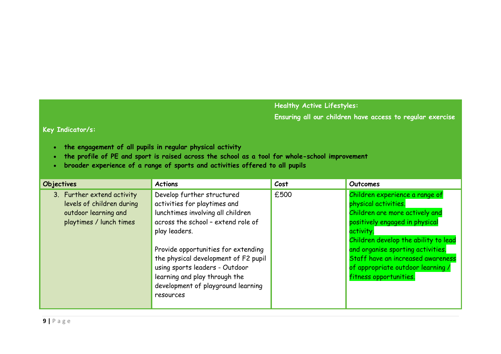# **Healthy Active Lifestyles:**

**Ensuring all our children have access to regular exercise**

### **Key Indicator/s:**

- **the engagement of all pupils in regular physical activity**
- **the profile of PE and sport is raised across the school as a tool for whole-school improvement**
- **broader experience of a range of sports and activities offered to all pupils**

| <b>Objectives</b>                                                                                          | <b>Actions</b>                                                                                                                                                                                                                                                                                                                                              | Cost | Outcomes                                                                                                                                                                                                                                                                                                                 |
|------------------------------------------------------------------------------------------------------------|-------------------------------------------------------------------------------------------------------------------------------------------------------------------------------------------------------------------------------------------------------------------------------------------------------------------------------------------------------------|------|--------------------------------------------------------------------------------------------------------------------------------------------------------------------------------------------------------------------------------------------------------------------------------------------------------------------------|
| 3. Further extend activity<br>levels of children during<br>outdoor learning and<br>playtimes / lunch times | Develop further structured<br>activities for playtimes and<br>lunchtimes involving all children<br>across the school - extend role of<br>play leaders.<br>Provide opportunities for extending<br>the physical development of F2 pupil<br>using sports leaders - Outdoor<br>learning and play through the<br>development of playground learning<br>resources | £500 | Children experience a range of<br>physical activities.<br>Children are more actively and<br>positively engaged in physical<br>activity.<br>Children develop the ability to lead<br>and organise sporting activities.<br>Staff have an increased awareness<br>of appropriate outdoor learning /<br>fitness opportunities. |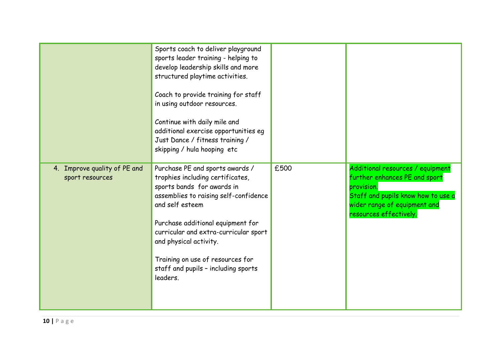|                                                 | Sports coach to deliver playground<br>sports leader training - helping to<br>develop leadership skills and more<br>structured playtime activities.<br>Coach to provide training for staff<br>in using outdoor resources.<br>Continue with daily mile and<br>additional exercise opportunities eg<br>Just Dance / fitness training /<br>skipping / hula hooping etc |      |                                                                                                                                                                                 |
|-------------------------------------------------|--------------------------------------------------------------------------------------------------------------------------------------------------------------------------------------------------------------------------------------------------------------------------------------------------------------------------------------------------------------------|------|---------------------------------------------------------------------------------------------------------------------------------------------------------------------------------|
| 4. Improve quality of PE and<br>sport resources | Purchase PE and sports awards /<br>trophies including certificates,<br>sports bands for awards in<br>assemblies to raising self-confidence<br>and self esteem<br>Purchase additional equipment for<br>curricular and extra-curricular sport<br>and physical activity.<br>Training on use of resources for<br>staff and pupils - including sports<br>leaders.       | £500 | Additional resources / equipment<br>further enhances PE and sport<br>provision.<br>Staff and pupils know how to use a<br>wider range of equipment and<br>resources effectively. |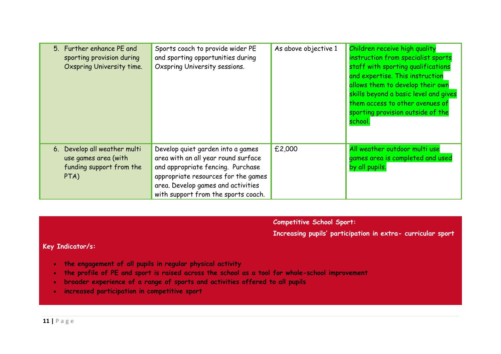| 5. Further enhance PE and<br>sporting provision during<br>Oxspring University time.      | Sports coach to provide wider PE<br>and sporting opportunities during<br>Oxspring University sessions.                                                                                                                            | As above objective 1 | Children receive high quality<br>instruction from specialist sports<br>staff with sporting qualifications<br>and expertise. This instruction<br>allows them to develop their own<br>skills beyond a basic level and gives<br>them access to other avenues of<br>sporting provision outside of the<br><u>school.</u> |
|------------------------------------------------------------------------------------------|-----------------------------------------------------------------------------------------------------------------------------------------------------------------------------------------------------------------------------------|----------------------|---------------------------------------------------------------------------------------------------------------------------------------------------------------------------------------------------------------------------------------------------------------------------------------------------------------------|
| 6. Develop all weather multi<br>use games area (with<br>funding support from the<br>PTA) | Develop quiet garden into a games<br>area with an all year round surface<br>and appropriate fencing. Purchase<br>appropriate resources for the games<br>area. Develop games and activities<br>with support from the sports coach. | £2,000               | All weather outdoor multi use<br>games area is completed and used<br>by all pupils.                                                                                                                                                                                                                                 |

**Competitive School Sport:** 

**Increasing pupils' participation in extra- curricular sport**

# **Key Indicator/s:**

- **the engagement of all pupils in regular physical activity**
- **the profile of PE and sport is raised across the school as a tool for whole-school improvement**
- **broader experience of a range of sports and activities offered to all pupils**
- **increased participation in competitive sport**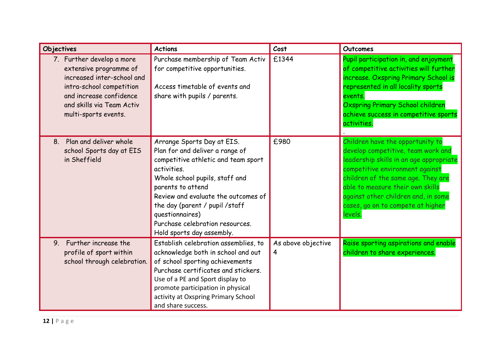| Objectives                                                                                                                                                                                    | <b>Actions</b>                                                                                                                                                                                                                                                                                                                         | Cost                    | <b>Outcomes</b>                                                                                                                                                                                                                                                                                                       |
|-----------------------------------------------------------------------------------------------------------------------------------------------------------------------------------------------|----------------------------------------------------------------------------------------------------------------------------------------------------------------------------------------------------------------------------------------------------------------------------------------------------------------------------------------|-------------------------|-----------------------------------------------------------------------------------------------------------------------------------------------------------------------------------------------------------------------------------------------------------------------------------------------------------------------|
| 7. Further develop a more<br>extensive programme of<br>increased inter-school and<br>intra-school competition<br>and increase confidence<br>and skills via Team Activ<br>multi-sports events. | Purchase membership of Team Activ<br>for competitive opportunities.<br>Access timetable of events and<br>share with pupils / parents.                                                                                                                                                                                                  | £1344                   | Pupil participation in, and enjoyment<br>of competitive activities will further<br>increase. Oxspring Primary School is<br>represented in all locality sports<br>events.<br>Oxspring Primary School children<br>achieve success in competitive sports<br>activities.                                                  |
| Plan and deliver whole<br>8 <sub>1</sub><br>school Sports day at EIS<br>in Sheffield                                                                                                          | Arrange Sports Day at EIS.<br>Plan for and deliver a range of<br>competitive athletic and team sport<br>activities.<br>Whole school pupils, staff and<br>parents to attend<br>Review and evaluate the outcomes of<br>the day (parent / pupil /staff<br>questionnaires)<br>Purchase celebration resources.<br>Hold sports day assembly. | £980                    | Children have the opportunity to<br>develop competitive, team work and<br>leadership skills in an age appropriate<br>competitive environment against<br>children of the same age. They are<br>able to measure their own skills<br>against other children and, in some<br>cases, go on to compete at higher<br>levels. |
| 9. Further increase the<br>profile of sport within<br>school through celebration.                                                                                                             | Establish celebration assemblies, to<br>acknowledge both in school and out<br>of school sporting achievements<br>Purchase certificates and stickers.<br>Use of a PE and Sport display to<br>promote participation in physical<br>activity at Oxspring Primary School<br>and share success.                                             | As above objective<br>4 | Raise sporting aspirations and enable<br>children to share experiences.                                                                                                                                                                                                                                               |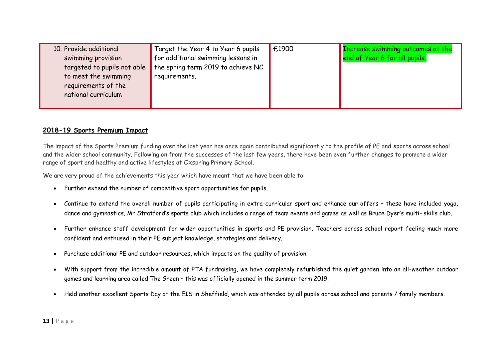| 10. Provide additional      | Target the Year 4 to Year 6 pupils                | £1900 | Increase swimming outcomes at the |
|-----------------------------|---------------------------------------------------|-------|-----------------------------------|
| swimming provision          | for additional swimming lessons in                |       | end of Year 6 for all pupils.     |
| targeted to pupils not able | $\blacksquare$ the spring term 2019 to achieve NC |       |                                   |
| to meet the swimming        | requirements.                                     |       |                                   |
| requirements of the         |                                                   |       |                                   |
| national curriculum         |                                                   |       |                                   |
|                             |                                                   |       |                                   |

## **2018-19 Sports Premium Impact**

The impact of the Sports Premium funding over the last year has once again contributed significantly to the profile of PE and sports across school and the wider school community. Following on from the successes of the last few years, there have been even further changes to promote a wider range of sport and healthy and active lifestyles at Oxspring Primary School.

We are very proud of the achievements this year which have meant that we have been able to:

- Further extend the number of competitive sport opportunities for pupils.
- Continue to extend the overall number of pupils participating in extra-curricular sport and enhance our offers these have included yoga, dance and gymnastics, Mr Stratford's sports club which includes a range of team events and games as well as Bruce Dyer's multi- skills club.
- Further enhance staff development for wider opportunities in sports and PE provision. Teachers across school report feeling much more confident and enthused in their PE subject knowledge, strategies and delivery.
- Purchase additional PE and outdoor resources, which impacts on the quality of provision.
- With support from the incredible amount of PTA fundraising, we have completely refurbished the quiet garden into an all-weather outdoor games and learning area called The Green – this was officially opened in the summer term 2019.
- Held another excellent Sports Day at the EIS in Sheffield, which was attended by all pupils across school and parents / family members.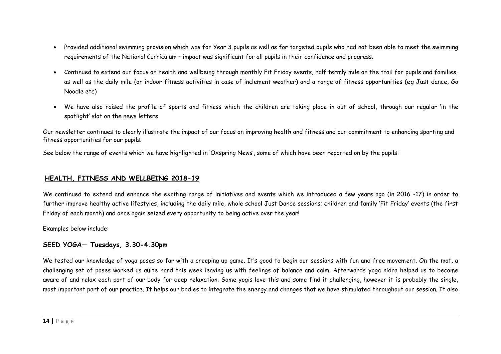- Provided additional swimming provision which was for Year 3 pupils as well as for targeted pupils who had not been able to meet the swimming requirements of the National Curriculum – impact was significant for all pupils in their confidence and progress.
- Continued to extend our focus on health and wellbeing through monthly Fit Friday events, half termly mile on the trail for pupils and families, as well as the daily mile (or indoor fitness activities in case of inclement weather) and a range of fitness opportunities (eg Just dance, Go Noodle etc)
- We have also raised the profile of sports and fitness which the children are taking place in out of school, through our regular 'in the spotlight' slot on the news letters

Our newsletter continues to clearly illustrate the impact of our focus on improving health and fitness and our commitment to enhancing sporting and fitness opportunities for our pupils.

See below the range of events which we have highlighted in 'Oxspring News', some of which have been reported on by the pupils:

#### **HEALTH, FITNESS AND WELLBEING 2018-19**

We continued to extend and enhance the exciting range of initiatives and events which we introduced a few years ago (in 2016 -17) in order to further improve healthy active lifestyles, including the daily mile, whole school Just Dance sessions; children and family 'Fit Friday' events (the first Friday of each month) and once again seized every opportunity to being active over the year!

Examples below include:

## **SEED YOGA— Tuesdays, 3.30-4.30pm**

We tested our knowledge of yoga poses so far with a creeping up game. It's good to begin our sessions with fun and free movement. On the mat, a challenging set of poses worked us quite hard this week leaving us with feelings of balance and calm. Afterwards yoga nidra helped us to become aware of and relax each part of our body for deep relaxation. Some yogis love this and some find it challenging, however it is probably the single, most important part of our practice. It helps our bodies to integrate the energy and changes that we have stimulated throughout our session. It also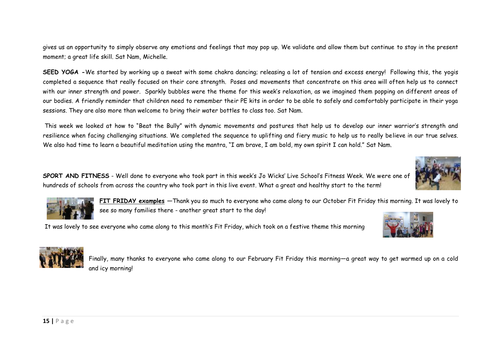gives us an opportunity to simply observe any emotions and feelings that may pop up. We validate and allow them but continue to stay in the present moment; a great life skill. Sat Nam, Michelle.

**SEED YOGA -**We started by working up a sweat with some chakra dancing; releasing a lot of tension and excess energy! Following this, the yogis completed a sequence that really focused on their core strength. Poses and movements that concentrate on this area will often help us to connect with our inner strength and power. Sparkly bubbles were the theme for this week's relaxation, as we imagined them popping on different areas of our bodies. A friendly reminder that children need to remember their PE kits in order to be able to safely and comfortably participate in their yoga sessions. They are also more than welcome to bring their water bottles to class too. Sat Nam.

This week we looked at how to "Beat the Bully" with dynamic movements and postures that help us to develop our inner warrior's strength and resilience when facing challenging situations. We completed the sequence to uplifting and fiery music to help us to really believe in our true selves. We also had time to learn a beautiful meditation using the mantra, "I am brave, I am bold, my own spirit I can hold." Sat Nam.

**SPORT AND FITNESS** - Well done to everyone who took part in this week's Jo Wicks' Live School's Fitness Week. We were one of hundreds of schools from across the country who took part in this live event. What a great and healthy start to the term!



**FIT FRIDAY examples —**Thank you so much to everyone who came along to our October Fit Friday this morning. It was lovely to see so many families there - another great start to the day!

It was lovely to see everyone who came along to this month's Fit Friday, which took on a festive theme this morning





Finally, many thanks to everyone who came along to our February Fit Friday this morning—a great way to get warmed up on a cold and icy morning!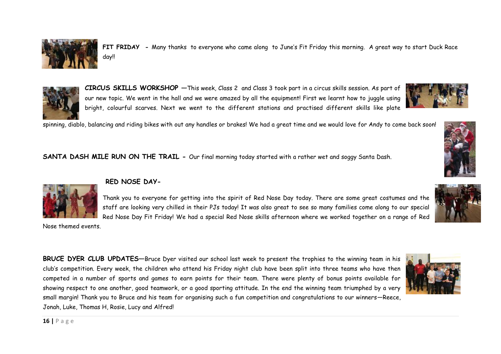# **BRUCE DYER CLUB UPDATES—**Bruce Dyer visited our school last week to present the trophies to the winning team in his club's competition. Every week, the children who attend his Friday night club have been split into three teams who have then competed in a number of sports and games to earn points for their team. There were plenty of bonus points available for showing respect to one another, good teamwork, or a good sporting attitude. In the end the winning team triumphed by a very small margin! Thank you to Bruce and his team for organising such a fun competition and congratulations to our winners—Reece,

**SANTA DASH MILE RUN ON THE TRAIL -** Our final morning today started with a rather wet and soggy Santa Dash.

Thank you to everyone for getting into the spirit of Red Nose Day today. There are some great costumes and the staff are looking very chilled in their PJs today! It was also great to see so many families come along to our special Red Nose Day Fit Friday! We had a special Red Nose skills afternoon where we worked together on a range of Red

**RED NOSE DAY-**

**CIRCUS SKILLS WORKSHOP —**This week, Class 2 and Class 3 took part in a circus skills session. As part of our new topic. We went in the hall and we were amazed by all the equipment! First we learnt how to juggle using bright, colourful scarves. Next we went to the different stations and practised different skills like plate

day!!

**FIT FRIDAY -** Many thanks to everyone who came along to June's Fit Friday this morning. A great way to start Duck Race



Jonah, Luke, Thomas H, Rosie, Lucy and Alfred!



Nose themed events.









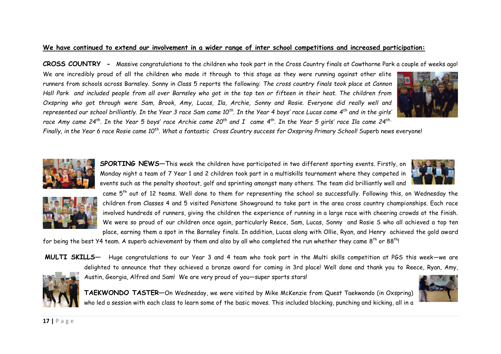## **We have continued to extend our involvement in a wider range of inter school competitions and increased participation:**

**CROSS COUNTRY -** Massive congratulations to the children who took part in the Cross Country finals at Cawthorne Park a couple of weeks ago!

We are incredibly proud of all the children who made it through to this stage as they were running against other elite runners from schools across Barnsley. Sonny in Class 5 reports the following: *The cross country finals took place at Cannon Hall Park and included people from all over Barnsley who got in the top ten or fifteen in their heat. The children from Oxspring who got through were Sam, Brook, Amy, Lucas, Ila, Archie, Sonny and Rosie. Everyone did really well and represented our school brilliantly. In the Year 3 race Sam came 10th. In the Year 4 boys' race Lucas came 4th and in the girls' race Amy came 24th. In the Year 5 boys' race Archie came 20th and I came 4th. In the Year 5 girls' race Ila came 24th..* 



*Finally, in the Year 6 race Rosie came 10th. What a fantastic Cross Country success for Oxspring Primary School!* Superb news everyone!



**SPORTING NEWS—**This week the children have participated in two different sporting events. Firstly, on Monday night a team of 7 Year 1 and 2 children took part in a multiskills tournament where they competed in events such as the penalty shootout, golf and sprinting amongst many others. The team did brilliantly well and





came 5th out of 12 teams. Well done to them for representing the school so successfully. Following this, on Wednesday the children from Classes 4 and 5 visited Penistone Showground to take part in the area cross country championships. Each race involved hundreds of runners, giving the children the experience of running in a large race with cheering crowds at the finish. We were so proud of our children once again, particularly Reece, Sam, Lucas, Sonny and Rosie S who all achieved a top ten place, earning them a spot in the Barnsley finals. In addition, Lucas along with Ollie, Ryan, and Henry achieved the gold award

for being the best Y4 team. A superb achievement by them and also by all who completed the run whether they came 8<sup>th</sup> or 88<sup>th</sup>!



who led a session with each class to learn some of the basic moves. This included blocking, punching and kicking, all in a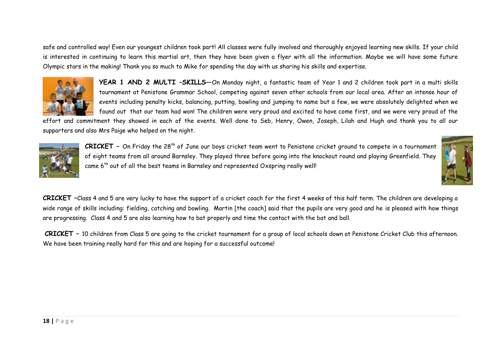safe and controlled way! Even our youngest children took part! All classes were fully involved and thoroughly enjoyed learning new skills. If your child is interested in continuing to learn this martial art, then they have been given a flyer with all the information. Maybe we will have some future Olympic stars in the making! Thank you so much to Mike for spending the day with us sharing his skills and expertise.



**YEAR 1 AND 2 MULTI –SKILLS**—On Monday night, a fantastic team of Year 1 and 2 children took part in a multi skills tournament at Penistone Grammar School, competing against seven other schools from our local area. After an intense hour of events including penalty kicks, balancing, putting, bowling and jumping to name but a few, we were absolutely delighted when we found out that our team had won! The children were very proud and excited to have come first, and we were very proud of the

effort and commitment they showed in each of the events. Well done to Seb, Henry, Owen, Joseph, Lilah and Hugh and thank you to all our supporters and also Mrs Paige who helped on the night.



**CRICKET** – On Friday the 28<sup>th</sup> of June our boys cricket team went to Penistone cricket ground to compete in a tournament of eight teams from all around Barnsley. They played three before going into the knockout round and playing Greenfield. They came 6<sup>th</sup> out of all the best teams in Barnsley and represented Oxspring really well!



**CRICKET –**Class 4 and 5 are very lucky to have the support of a cricket coach for the first 4 weeks of this half term. The children are developing a wide range of skills including: fielding, catching and bowling. Martin [the coach] said that the pupils are very good and he is pleased with how things are progressing. Class 4 and 5 are also learning how to bat properly and time the contact with the bat and ball.

**CRICKET –** 10 children from Class 5 are going to the cricket tournament for a group of local schools down at Penistone Cricket Club this afternoon. We have been training really hard for this and are hoping for a successful outcome!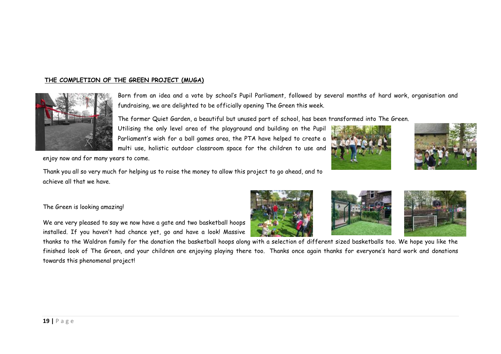### **THE COMPLETION OF THE GREEN PROJECT (MUGA)**



Born from an idea and a vote by school's Pupil Parliament, followed by several months of hard work, organisation and fundraising, we are delighted to be officially opening The Green this week.

The former Quiet Garden, a beautiful but unused part of school, has been transformed into The Green.

Utilising the only level area of the playground and building on the Pupil Parliament's wish for a ball games area, the PTA have helped to create a multi use, holistic outdoor classroom space for the children to use and





enjoy now and for many years to come.

Thank you all so very much for helping us to raise the money to allow this project to go ahead, and to achieve all that we have.

#### The Green is looking amazing!

We are very pleased to say we now have a gate and two basketball hoops installed. If you haven't had chance yet, go and have a look! Massive







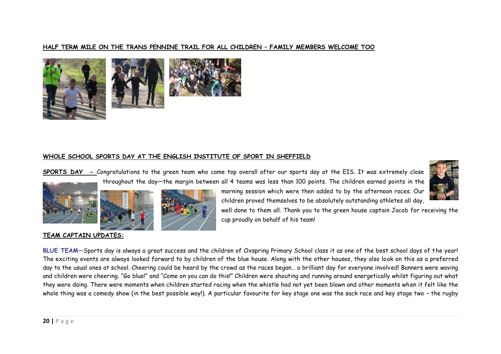#### **HALF TERM MILE ON THE TRANS PENNINE TRAIL FOR ALL CHILDREN – FAMILY MEMBERS WELCOME TOO**



#### **WHOLE SCHOOL SPORTS DAY AT THE ENGLISH INSTITUTE OF SPORT IN SHEFFIELD**

**SPORTS DAY -** Congratulations to the green team who came top overall after our sports day at the EIS. It was extremely close throughout the day—the margin between all 4 teams was less than 100 points. The children earned points in the







well done to them all. Thank you to the green house captain Jacob for receiving the cup proudly on behalf of his team!

morning session which were then added to by the afternoon races. Our children proved themselves to be absolutely outstanding athletes all day,

#### **TEAM CAPTAIN UPDATES:**

**BLUE TEAM—**Sports day is always a great success and the children of Oxspring Primary School class it as one of the best school days of the year! The exciting events are always looked forward to by children of the blue house. Along with the other houses, they also look on this as a preferred day to the usual ones at school. Cheering could be heard by the crowd as the races began… a brilliant day for everyone involved! Banners were waving and children were cheering. "Go blue!" and "Come on you can do this!" Children were shouting and running around energetically whilst figuring out what they were doing. There were moments when children started racing when the whistle had not yet been blown and other moments when it felt like the whole thing was a comedy show (in the best possible way!). A particular favourite for key stage one was the sack race and key stage two – the rugby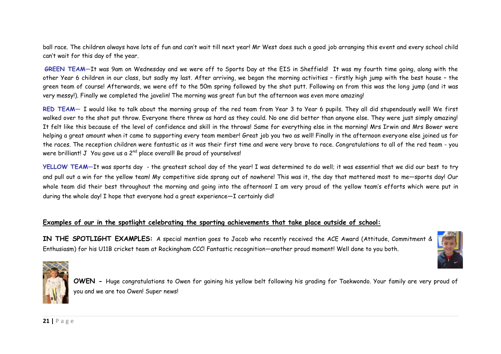ball race. The children always have lots of fun and can't wait till next year! Mr West does such a good job arranging this event and every school child can't wait for this day of the year.

**GREEN TEAM—**It was 9am on Wednesday and we were off to Sports Day at the EIS in Sheffield! It was my fourth time going, along with the other Year 6 children in our class, but sadly my last. After arriving, we began the morning activities – firstly high jump with the best house – the green team of course! Afterwards, we were off to the 50m spring followed by the shot putt. Following on from this was the long jump (and it was very messy!). Finally we completed the javelin! The morning was great fun but the afternoon was even more amazing!

**RED TEAM—** I would like to talk about the morning group of the red team from Year 3 to Year 6 pupils. They all did stupendously well! We first walked over to the shot put throw. Everyone there threw as hard as they could. No one did better than anyone else. They were just simply amazing! It felt like this because of the level of confidence and skill in the throws! Same for everything else in the morning! Mrs Irwin and Mrs Bower were helping a great amount when it came to supporting every team member! Great job you two as well! Finally in the afternoon everyone else joined us for the races. The reception children were fantastic as it was their first time and were very brave to race. Congratulations to all of the red team - you were brilliant! J You gave us a  $2^{nd}$  place overall! Be proud of yourselves!

**YELLOW TEAM—**It was sports day - the greatest school day of the year! I was determined to do well; it was essential that we did our best to try and pull out a win for the yellow team! My competitive side sprang out of nowhere! This was it, the day that mattered most to me-sports day! Our whole team did their best throughout the morning and going into the afternoon! I am very proud of the yellow team's efforts which were put in during the whole day! I hope that everyone had a great experience—I certainly did!

#### **Examples of our in the spotlight celebrating the sporting achievements that take place outside of school:**

**IN THE SPOTLIGHT EXAMPLES:** A special mention goes to Jacob who recently received the ACE Award (Attitude, Commitment & Enthusiasm) for his U11B cricket team at Rockingham CCC! Fantastic recognition—another proud moment! Well done to you both.



**OWEN -** Huge congratulations to Owen for gaining his yellow belt following his grading for Taekwondo. Your family are very proud of you and we are too Owen! Super news!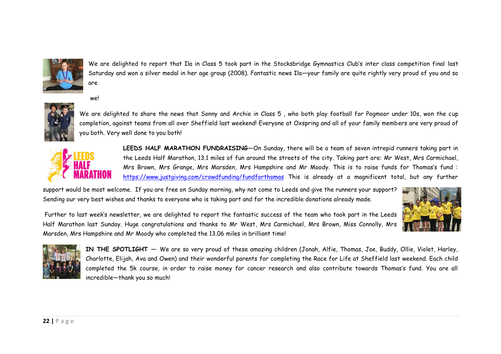

We are delighted to report that Ila in Class 5 took part in the Stocksbridge Gymnastics Club's inter class competition final last Saturday and won a silver medal in her age group (2008). Fantastic news Ila—your family are quite rightly very proud of you and so are

we!



We are delighted to share the news that Sonny and Archie in Class 5 , who both play football for Pogmoor under 10s, won the cup completion, against teams from all over Sheffield last weekend! Everyone at Oxspring and all of your family members are very proud of you both. Very well done to you both!



LEEDS HALF MARATHON FUNDRAISING-On Sunday, there will be a team of seven intrepid runners taking part in the Leeds Half Marathon, 13.1 miles of fun around the streets of the city. Taking part are: Mr West, Mrs Carmichael, Mrs Brown, Mrs Grange, Mrs Marsden, Mrs Hampshire and Mr Moody. This is to raise funds for Thomas's fund : <https://www.justgiving.com/crowdfunding/fundforthomas> This is already at a magnificent total, but any further

support would be most welcome. If you are free on Sunday morning, why not come to Leeds and give the runners your support? Sending our very best wishes and thanks to everyone who is taking part and for the incredible donations already made.



Further to last week's newsletter, we are delighted to report the fantastic success of the team who took part in the Leeds Half Marathon last Sunday. Huge congratulations and thanks to Mr West, Mrs Carmichael, Mrs Brown, Miss Connolly, Mrs Marsden, Mrs Hampshire and Mr Moody who completed the 13.06 miles in brilliant time!



**IN THE SPOTLIGHT —** We are so very proud of these amazing children (Jonah, Alfie, Thomas, Joe, Buddy, Ollie, Violet, Harley, Charlotte, Elijah, Ava and Owen) and their wonderful parents for completing the Race for Life at Sheffield last weekend. Each child completed the 5k course, in order to raise money for cancer research and also contribute towards Thomas's fund. You are all incredible—thank you so much!